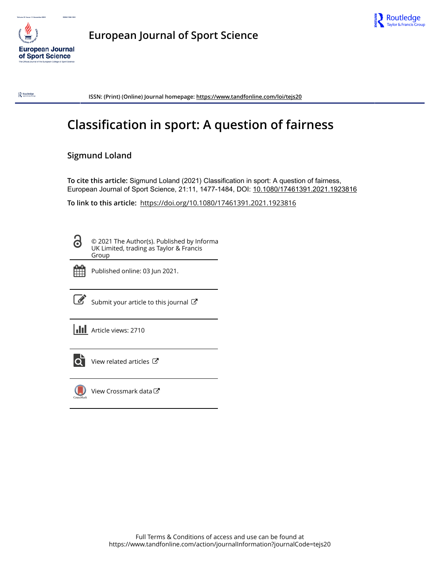

**European Journal of Sport Science**



 $\mathbf{R}$  Routledge

**ISSN: (Print) (Online) Journal homepage:<https://www.tandfonline.com/loi/tejs20>**

# **Classification in sport: A question of fairness**

### **Sigmund Loland**

**To cite this article:** Sigmund Loland (2021) Classification in sport: A question of fairness, European Journal of Sport Science, 21:11, 1477-1484, DOI: [10.1080/17461391.2021.1923816](https://www.tandfonline.com/action/showCitFormats?doi=10.1080/17461391.2021.1923816)

**To link to this article:** <https://doi.org/10.1080/17461391.2021.1923816>

8

© 2021 The Author(s). Published by Informa UK Limited, trading as Taylor & Francis Group



Published online: 03 Jun 2021.



 $\overrightarrow{S}$  [Submit your article to this journal](https://www.tandfonline.com/action/authorSubmission?journalCode=tejs20&show=instructions)  $\overrightarrow{S}$ 

**III** Article views: 2710



[View related articles](https://www.tandfonline.com/doi/mlt/10.1080/17461391.2021.1923816) C



[View Crossmark data](http://crossmark.crossref.org/dialog/?doi=10.1080/17461391.2021.1923816&domain=pdf&date_stamp=2021-06-03)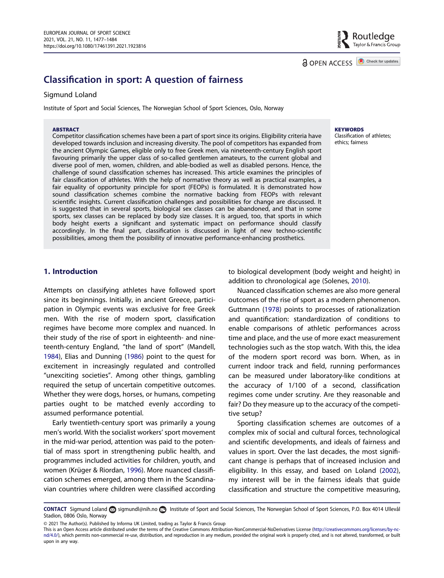Routledge سے<br>Tavlor & Francis Group

**a** OPEN ACCESS **D** Check for updates

## Classification in sport: A question of fairness

#### Sigmund Loland

Institute of Sport and Social Sciences, The Norwegian School of Sport Sciences, Oslo, Norway

#### **ABSTRACT**

Competitor classification schemes have been a part of sport since its origins. Eligibility criteria have developed towards inclusion and increasing diversity. The pool of competitors has expanded from the ancient Olympic Games, eligible only to free Greek men, via nineteenth-century English sport favouring primarily the upper class of so-called gentlemen amateurs, to the current global and diverse pool of men, women, children, and able-bodied as well as disabled persons. Hence, the challenge of sound classification schemes has increased. This article examines the principles of fair classification of athletes. With the help of normative theory as well as practical examples, a fair equality of opportunity principle for sport (FEOPs) is formulated. It is demonstrated how sound classification schemes combine the normative backing from FEOPs with relevant scientific insights. Current classification challenges and possibilities for change are discussed. It is suggested that in several sports, biological sex classes can be abandoned, and that in some sports, sex classes can be replaced by body size classes. It is argued, too, that sports in which body height exerts a significant and systematic impact on performance should classify accordingly. In the final part, classification is discussed in light of new techno-scientific possibilities, among them the possibility of innovative performance-enhancing prosthetics.

## **KEYWORDS**

Classification of athletes; ethics; fairness

#### 1. Introduction

<span id="page-1-4"></span><span id="page-1-0"></span>Attempts on classifying athletes have followed sport since its beginnings. Initially, in ancient Greece, participation in Olympic events was exclusive for free Greek men. With the rise of modern sport, classification regimes have become more complex and nuanced. In their study of the rise of sport in eighteenth- and nineteenth-century England, "the land of sport" (Mandell, [1984\)](#page-7-0), Elias and Dunning ([1986\)](#page-7-1) point to the quest for excitement in increasingly regulated and controlled "unexciting societies". Among other things, gambling required the setup of uncertain competitive outcomes. Whether they were dogs, horses, or humans, competing parties ought to be matched evenly according to assumed performance potential.

<span id="page-1-2"></span>Early twentieth-century sport was primarily a young men's world. With the socialist workers' sport movement in the mid-war period, attention was paid to the potential of mass sport in strengthening public health, and programmes included activities for children, youth, and women (Krüger & Riordan, [1996](#page-7-2)). More nuanced classification schemes emerged, among them in the Scandinavian countries where children were classified according

<span id="page-1-5"></span>to biological development (body weight and height) in addition to chronological age (Solenes, [2010](#page-8-0)).

<span id="page-1-1"></span>Nuanced classification schemes are also more general outcomes of the rise of sport as a modern phenomenon. Guttmann [\(1978\)](#page-7-3) points to processes of rationalization and quantification: standardization of conditions to enable comparisons of athletic performances across time and place, and the use of more exact measurement technologies such as the stop watch. With this, the idea of the modern sport record was born. When, as in current indoor track and field, running performances can be measured under laboratory-like conditions at the accuracy of 1/100 of a second, classification regimes come under scrutiny. Are they reasonable and fair? Do they measure up to the accuracy of the competitive setup?

<span id="page-1-3"></span>Sporting classification schemes are outcomes of a complex mix of social and cultural forces, technological and scientific developments, and ideals of fairness and values in sport. Over the last decades, the most significant change is perhaps that of increased inclusion and eligibility. In this essay, and based on Loland [\(2002\)](#page-7-4), my interest will be in the fairness ideals that guide classification and structure the competitive measuring,

CONTACT Sigmund Loland a [sigmundl@nih.no](mailto:sigmundl@nih.no) **Institute of Sport and Social Sciences**, The Norwegian School of Sport Sciences, P.O. Box 4014 Ullevål Stadion, 0806 Oslo, Norway

<sup>© 2021</sup> The Author(s). Published by Informa UK Limited, trading as Taylor & Francis Group

This is an Open Access article distributed under the terms of the Creative Commons Attribution-NonCommercial-NoDerivatives License ([http://creativecommons.org/licenses/by-nc](http://creativecommons.org/licenses/by-nc-nd/4.0/)[nd/4.0/\)](http://creativecommons.org/licenses/by-nc-nd/4.0/), which permits non-commercial re-use, distribution, and reproduction in any medium, provided the original work is properly cited, and is not altered, transformed, or built upon in any way.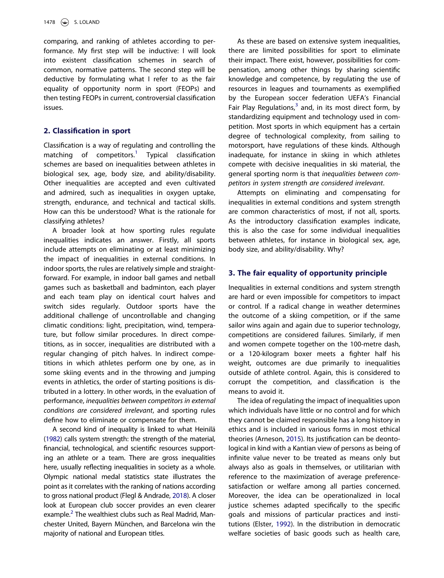comparing, and ranking of athletes according to performance. My first step will be inductive: I will look into existent classification schemes in search of common, normative patterns. The second step will be deductive by formulating what I refer to as the fair equality of opportunity norm in sport (FEOPs) and then testing FEOPs in current, controversial classification issues.

#### 2. Classification in sport

Classification is a way of regulating and controlling the matching of competitors.<sup>[1](#page-6-0)</sup> Typical classification schemes are based on inequalities between athletes in biological sex, age, body size, and ability/disability. Other inequalities are accepted and even cultivated and admired, such as inequalities in oxygen uptake, strength, endurance, and technical and tactical skills. How can this be understood? What is the rationale for classifying athletes?

A broader look at how sporting rules regulate inequalities indicates an answer. Firstly, all sports include attempts on eliminating or at least minimizing the impact of inequalities in external conditions. In indoor sports, the rules are relatively simple and straightforward. For example, in indoor ball games and netball games such as basketball and badminton, each player and each team play on identical court halves and switch sides regularly. Outdoor sports have the additional challenge of uncontrollable and changing climatic conditions: light, precipitation, wind, temperature, but follow similar procedures. In direct competitions, as in soccer, inequalities are distributed with a regular changing of pitch halves. In indirect competitions in which athletes perform one by one, as in some skiing events and in the throwing and jumping events in athletics, the order of starting positions is distributed in a lottery. In other words, in the evaluation of performance, inequalities between competitors in external conditions are considered irrelevant, and sporting rules define how to eliminate or compensate for them.

<span id="page-2-3"></span><span id="page-2-2"></span>A second kind of inequality is linked to what Heinilä ([1982\)](#page-7-5) calls system strength: the strength of the material, financial, technological, and scientific resources supporting an athlete or a team. There are gross inequalities here, usually reflecting inequalities in society as a whole. Olympic national medal statistics state illustrates the point as it correlates with the ranking of nations according to gross national product (Flegl & Andrade, [2018\)](#page-7-6). A closer look at European club soccer provides an even clearer example.<sup>[2](#page-6-1)</sup> The wealthiest clubs such as Real Madrid, Manchester United, Bayern München, and Barcelona win the majority of national and European titles.

As these are based on extensive system inequalities, there are limited possibilities for sport to eliminate their impact. There exist, however, possibilities for compensation, among other things by sharing scientific knowledge and competence, by regulating the use of resources in leagues and tournaments as exemplified by the European soccer federation UEFA's Financial Fair Play Regulations, $3$  and, in its most direct form, by standardizing equipment and technology used in competition. Most sports in which equipment has a certain degree of technological complexity, from sailing to motorsport, have regulations of these kinds. Although inadequate, for instance in skiing in which athletes compete with decisive inequalities in ski material, the general sporting norm is that inequalities between competitors in system strength are considered irrelevant.

Attempts on eliminating and compensating for inequalities in external conditions and system strength are common characteristics of most, if not all, sports. As the introductory classification examples indicate, this is also the case for some individual inequalities between athletes, for instance in biological sex, age, body size, and ability/disability. Why?

#### 3. The fair equality of opportunity principle

Inequalities in external conditions and system strength are hard or even impossible for competitors to impact or control. If a radical change in weather determines the outcome of a skiing competition, or if the same sailor wins again and again due to superior technology, competitions are considered failures. Similarly, if men and women compete together on the 100-metre dash, or a 120-kilogram boxer meets a fighter half his weight, outcomes are due primarily to inequalities outside of athlete control. Again, this is considered to corrupt the competition, and classification is the means to avoid it.

<span id="page-2-1"></span><span id="page-2-0"></span>The idea of regulating the impact of inequalities upon which individuals have little or no control and for which they cannot be claimed responsible has a long history in ethics and is included in various forms in most ethical theories (Arneson, [2015](#page-7-7)). Its justification can be deontological in kind with a Kantian view of persons as being of infinite value never to be treated as means only but always also as goals in themselves, or utilitarian with reference to the maximization of average preferencesatisfaction or welfare among all parties concerned. Moreover, the idea can be operationalized in local justice schemes adapted specifically to the specific goals and missions of particular practices and institutions (Elster, [1992](#page-7-8)). In the distribution in democratic welfare societies of basic goods such as health care,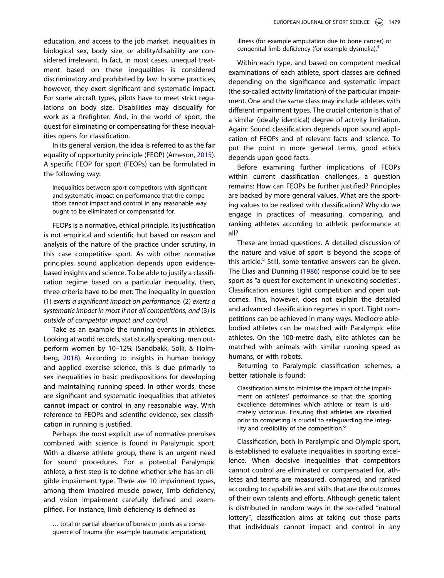education, and access to the job market, inequalities in biological sex, body size, or ability/disability are considered irrelevant. In fact, in most cases, unequal treatment based on these inequalities is considered discriminatory and prohibited by law. In some practices, however, they exert significant and systematic impact. For some aircraft types, pilots have to meet strict regulations on body size. Disabilities may disqualify for work as a firefighter. And, in the world of sport, the quest for eliminating or compensating for these inequalities opens for classification.

In its general version, the idea is referred to as the fair equality of opportunity principle (FEOP) (Arneson, [2015\)](#page-7-7). A specific FEOP for sport (FEOPs) can be formulated in the following way:

Inequalities between sport competitors with significant and systematic impact on performance that the competitors cannot impact and control in any reasonable way ought to be eliminated or compensated for.

FEOPs is a normative, ethical principle. Its justification is not empirical and scientific but based on reason and analysis of the nature of the practice under scrutiny, in this case competitive sport. As with other normative principles, sound application depends upon evidencebased insights and science. To be able to justify a classification regime based on a particular inequality, then, three criteria have to be met: The inequality in question (1) exerts a significant impact on performance, (2) exerts a systematic impact in most if not all competitions, and (3) is outside of competitor impact and control.

<span id="page-3-0"></span>Take as an example the running events in athletics. Looking at world records, statistically speaking, men outperform women by 10–12% (Sandbakk, Solli, & Holmberg, [2018](#page-8-1)). According to insights in human biology and applied exercise science, this is due primarily to sex inequalities in basic predispositions for developing and maintaining running speed. In other words, these are significant and systematic inequalities that athletes cannot impact or control in any reasonable way. With reference to FEOPs and scientific evidence, sex classification in running is justified.

Perhaps the most explicit use of normative premises combined with science is found in Paralympic sport. With a diverse athlete group, there is an urgent need for sound procedures. For a potential Paralympic athlete, a first step is to define whether s/he has an eligible impairment type. There are 10 impairment types, among them impaired muscle power, limb deficiency, and vision impairment carefully defined and exemplified. For instance, limb deficiency is defined as

… total or partial absence of bones or joints as a consequence of trauma (for example traumatic amputation), illness (for example amputation due to bone cancer) or congenital limb deficiency (for example dysmelia).[4](#page-6-3)

Within each type, and based on competent medical examinations of each athlete, sport classes are defined depending on the significance and systematic impact (the so-called activity limitation) of the particular impairment. One and the same class may include athletes with different impairment types. The crucial criterion is that of a similar (ideally identical) degree of activity limitation. Again: Sound classification depends upon sound application of FEOPs and of relevant facts and science. To put the point in more general terms, good ethics depends upon good facts.

Before examining further implications of FEOPs within current classification challenges, a question remains: How can FEOPs be further justified? Principles are backed by more general values. What are the sporting values to be realized with classification? Why do we engage in practices of measuring, comparing, and ranking athletes according to athletic performance at all?

These are broad questions. A detailed discussion of the nature and value of sport is beyond the scope of this article.<sup>[5](#page-6-4)</sup> Still, some tentative answers can be given. The Elias and Dunning ([1986](#page-7-1)) response could be to see sport as "a quest for excitement in unexciting societies". Classification ensures tight competition and open outcomes. This, however, does not explain the detailed and advanced classification regimes in sport. Tight competitions can be achieved in many ways. Mediocre ablebodied athletes can be matched with Paralympic elite athletes. On the 100-metre dash, elite athletes can be matched with animals with similar running speed as humans, or with robots.

Returning to Paralympic classification schemes, a better rationale is found:

Classification aims to minimise the impact of the impairment on athletes' performance so that the sporting excellence determines which athlete or team is ultimately victorious. Ensuring that athletes are classified prior to competing is crucial to safeguarding the integrity and credibility of the competition.<sup>6</sup>

Classification, both in Paralympic and Olympic sport, is established to evaluate inequalities in sporting excellence. When decisive inequalities that competitors cannot control are eliminated or compensated for, athletes and teams are measured, compared, and ranked according to capabilities and skills that are the outcomes of their own talents and efforts. Although genetic talent is distributed in random ways in the so-called "natural lottery", classification aims at taking out those parts that individuals cannot impact and control in any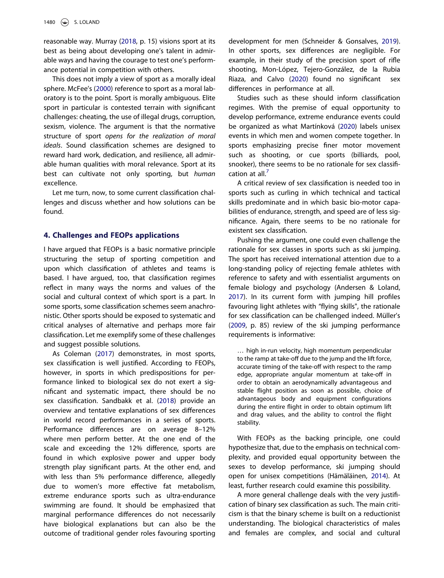<span id="page-4-7"></span>reasonable way. Murray [\(2018,](#page-8-2) p. 15) visions sport at its best as being about developing one's talent in admirable ways and having the courage to test one's performance potential in competition with others.

<span id="page-4-4"></span>This does not imply a view of sport as a morally ideal sphere. McFee's ([2000](#page-7-10)) reference to sport as a moral laboratory is to the point. Sport is morally ambiguous. Elite sport in particular is contested terrain with significant challenges: cheating, the use of illegal drugs, corruption, sexism, violence. The argument is that the normative structure of sport opens for the realization of moral ideals. Sound classification schemes are designed to reward hard work, dedication, and resilience, all admirable human qualities with moral relevance. Sport at its best can cultivate not only sporting, but human excellence.

Let me turn, now, to some current classification challenges and discuss whether and how solutions can be found.

#### 4. Challenges and FEOPs applications

I have argued that FEOPs is a basic normative principle structuring the setup of sporting competition and upon which classification of athletes and teams is based. I have argued, too, that classification regimes reflect in many ways the norms and values of the social and cultural context of which sport is a part. In some sports, some classification schemes seem anachronistic. Other sports should be exposed to systematic and critical analyses of alternative and perhaps more fair classification. Let me exemplify some of these challenges and suggest possible solutions.

<span id="page-4-1"></span>As Coleman ([2017\)](#page-7-11) demonstrates, in most sports, sex classification is well justified. According to FEOPs, however, in sports in which predispositions for performance linked to biological sex do not exert a significant and systematic impact, there should be no sex classification. Sandbakk et al. [\(2018\)](#page-8-1) provide an overview and tentative explanations of sex differences in world record performances in a series of sports. Performance differences are on average 8–12% where men perform better. At the one end of the scale and exceeding the 12% difference, sports are found in which explosive power and upper body strength play significant parts. At the other end, and with less than 5% performance difference, allegedly due to women's more effective fat metabolism, extreme endurance sports such as ultra-endurance swimming are found. It should be emphasized that marginal performance differences do not necessarily have biological explanations but can also be the outcome of traditional gender roles favouring sporting <span id="page-4-8"></span>development for men (Schneider & Gonsalves, [2019\)](#page-8-3). In other sports, sex differences are negligible. For example, in their study of the precision sport of rifle shooting, Mon-López, Tejero-González, de la Rubia Riaza, and Calvo ([2020](#page-7-12)) found no significant sex differences in performance at all.

<span id="page-4-5"></span><span id="page-4-3"></span>Studies such as these should inform classification regimes. With the premise of equal opportunity to develop performance, extreme endurance events could be organized as what Martínková ([2020](#page-7-13)) labels unisex events in which men and women compete together. In sports emphasizing precise finer motor movement such as shooting, or cue sports (billiards, pool, snooker), there seems to be no rationale for sex classification at all.<sup>7</sup>

A critical review of sex classification is needed too in sports such as curling in which technical and tactical skills predominate and in which basic bio-motor capabilities of endurance, strength, and speed are of less significance. Again, there seems to be no rationale for existent sex classification.

<span id="page-4-0"></span>Pushing the argument, one could even challenge the rationale for sex classes in sports such as ski jumping. The sport has received international attention due to a long-standing policy of rejecting female athletes with reference to safety and with essentialist arguments on female biology and psychology (Andersen & Loland, [2017](#page-7-15)). In its current form with jumping hill profiles favouring light athletes with "flying skills", the rationale for sex classification can be challenged indeed. Müller's ([2009](#page-8-4), p. 85) review of the ski jumping performance requirements is informative:

<span id="page-4-6"></span>… high in-run velocity, high momentum perpendicular to the ramp at take-off due to the jump and the lift force, accurate timing of the take-off with respect to the ramp edge, appropriate angular momentum at take-off in order to obtain an aerodynamically advantageous and stable flight position as soon as possible, choice of advantageous body and equipment configurations during the entire flight in order to obtain optimum lift and drag values, and the ability to control the flight stability.

With FEOPs as the backing principle, one could hypothesize that, due to the emphasis on technical complexity, and provided equal opportunity between the sexes to develop performance, ski jumping should open for unisex competitions (Hämäläinen, [2014](#page-7-16)). At least, further research could examine this possibility.

<span id="page-4-2"></span>A more general challenge deals with the very justification of binary sex classification as such. The main criticism is that the binary scheme is built on a reductionist understanding. The biological characteristics of males and females are complex, and social and cultural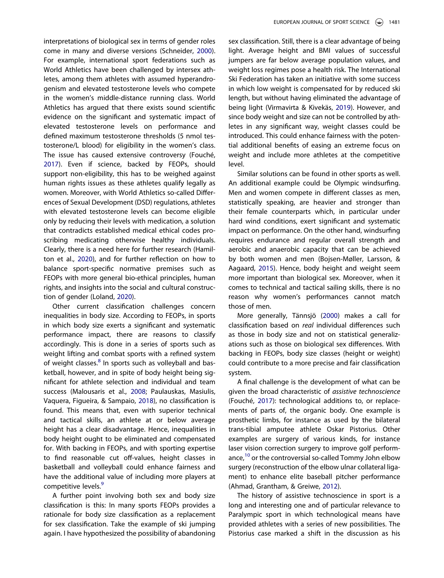<span id="page-5-7"></span>interpretations of biological sex in terms of gender roles come in many and diverse versions (Schneider, [2000\)](#page-8-5). For example, international sport federations such as World Athletics have been challenged by intersex athletes, among them athletes with assumed hyperandrogenism and elevated testosterone levels who compete in the women's middle-distance running class. World Athletics has argued that there exists sound scientific evidence on the significant and systematic impact of elevated testosterone levels on performance and defined maximum testosterone thresholds (5 nmol testosterone/L blood) for eligibility in the women's class. The issue has caused extensive controversy (Fouché, [2017\)](#page-7-17). Even if science, backed by FEOPs, should support non-eligibility, this has to be weighed against human rights issues as these athletes qualify legally as women. Moreover, with World Athletics so-called Differences of Sexual Development (DSD) regulations, athletes with elevated testosterone levels can become eligible only by reducing their levels with medication, a solution that contradicts established medical ethical codes proscribing medicating otherwise healthy individuals. Clearly, there is a need here for further research (Hamilton et al., [2020](#page-7-18)), and for further reflection on how to balance sport-specific normative premises such as

<span id="page-5-6"></span><span id="page-5-5"></span><span id="page-5-4"></span>tion of gender (Loland, [2020](#page-7-19)). Other current classification challenges concern inequalities in body size. According to FEOPs, in sports in which body size exerts a significant and systematic performance impact, there are reasons to classify accordingly. This is done in a series of sports such as weight lifting and combat sports with a refined system of weight classes.<sup>8</sup> In sports such as volleyball and basketball, however, and in spite of body height being significant for athlete selection and individual and team success (Malousaris et al., [2008;](#page-7-21) Paulauskas, Masiulis, Vaquera, Figueira, & Sampaio, [2018\)](#page-8-6), no classification is found. This means that, even with superior technical and tactical skills, an athlete at or below average height has a clear disadvantage. Hence, inequalities in body height ought to be eliminated and compensated for. With backing in FEOPs, and with sporting expertise to find reasonable cut off-values, height classes in basketball and volleyball could enhance fairness and have the additional value of including more players at competitive levels.<sup>[9](#page-7-22)</sup>

<span id="page-5-3"></span>FEOPs with more general bio-ethical principles, human rights, and insights into the social and cultural construc-

A further point involving both sex and body size classification is this: In many sports FEOPs provides a rationale for body size classification as a replacement for sex classification. Take the example of ski jumping again. I have hypothesized the possibility of abandoning <span id="page-5-9"></span>sex classification. Still, there is a clear advantage of being light. Average height and BMI values of successful jumpers are far below average population values, and weight loss regimes pose a health risk. The International Ski Federation has taken an initiative with some success in which low weight is compensated for by reduced ski length, but without having eliminated the advantage of being light (Virmavirta & Kivekäs, [2019](#page-8-7)). However, and since body weight and size can not be controlled by athletes in any significant way, weight classes could be introduced. This could enhance fairness with the potential additional benefits of easing an extreme focus on weight and include more athletes at the competitive level.

Similar solutions can be found in other sports as well. An additional example could be Olympic windsurfing. Men and women compete in different classes as men, statistically speaking, are heavier and stronger than their female counterparts which, in particular under hard wind conditions, exert significant and systematic impact on performance. On the other hand, windsurfing requires endurance and regular overall strength and aerobic and anaerobic capacity that can be achieved by both women and men (Bojsen-Møller, Larsson, & Aagaard, [2015](#page-7-23)). Hence, body height and weight seem more important than biological sex. Moreover, when it comes to technical and tactical sailing skills, there is no reason why women's performances cannot match those of men.

<span id="page-5-8"></span><span id="page-5-1"></span>More generally, Tännsjö [\(2000\)](#page-8-8) makes a call for classification based on real individual differences such as those in body size and not on statistical generalizations such as those on biological sex differences. With backing in FEOPs, body size classes (height or weight) could contribute to a more precise and fair classification system.

<span id="page-5-2"></span>A final challenge is the development of what can be given the broad characteristic of assistive technoscience (Fouché, [2017](#page-7-17)): technological additions to, or replacements of parts of, the organic body. One example is prosthetic limbs, for instance as used by the bilateral trans-tibial amputee athlete Oskar Pistorius. Other examples are surgery of various kinds, for instance laser vision correction surgery to improve golf perform-ance,<sup>[10](#page-7-24)</sup> or the controversial so-called Tommy John elbow surgery (reconstruction of the elbow ulnar collateral ligament) to enhance elite baseball pitcher performance (Ahmad, Grantham, & Greiwe, [2012](#page-7-25)).

<span id="page-5-0"></span>The history of assistive technoscience in sport is a long and interesting one and of particular relevance to Paralympic sport in which technological means have provided athletes with a series of new possibilities. The Pistorius case marked a shift in the discussion as his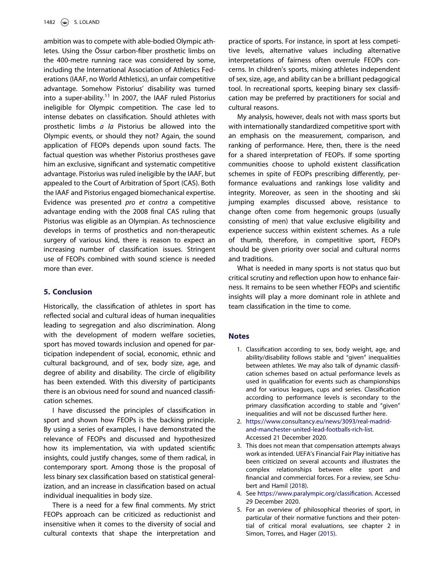ambition was to compete with able-bodied Olympic athletes. Using the Össur carbon-fiber prosthetic limbs on the 400-metre running race was considered by some, including the International Association of Athletics Federations (IAAF, no World Athletics), an unfair competitive advantage. Somehow Pistorius' disability was turned into a super-ability.<sup>11</sup> In 2007, the IAAF ruled Pistorius ineligible for Olympic competition. The case led to intense debates on classification. Should athletes with prosthetic limbs a la Pistorius be allowed into the Olympic events, or should they not? Again, the sound application of FEOPs depends upon sound facts. The factual question was whether Pistorius prostheses gave him an exclusive, significant and systematic competitive advantage. Pistorius was ruled ineligible by the IAAF, but appealed to the Court of Arbitration of Sport (CAS). Both the IAAF and Pistorius engaged biomechanical expertise. Evidence was presented pro et contra a competitive advantage ending with the 2008 final CAS ruling that Pistorius was eligible as an Olympian. As technoscience develops in terms of prosthetics and non-therapeutic surgery of various kind, there is reason to expect an increasing number of classification issues. Stringent use of FEOPs combined with sound science is needed more than ever.

#### 5. Conclusion

Historically, the classification of athletes in sport has reflected social and cultural ideas of human inequalities leading to segregation and also discrimination. Along with the development of modern welfare societies, sport has moved towards inclusion and opened for participation independent of social, economic, ethnic and cultural background, and of sex, body size, age, and degree of ability and disability. The circle of eligibility has been extended. With this diversity of participants there is an obvious need for sound and nuanced classification schemes.

I have discussed the principles of classification in sport and shown how FEOPs is the backing principle. By using a series of examples, I have demonstrated the relevance of FEOPs and discussed and hypothesized how its implementation, via with updated scientific insights, could justify changes, some of them radical, in contemporary sport. Among those is the proposal of less binary sex classification based on statistical generalization, and an increase in classification based on actual individual inequalities in body size.

There is a need for a few final comments. My strict FEOPs approach can be criticized as reductionist and insensitive when it comes to the diversity of social and cultural contexts that shape the interpretation and

practice of sports. For instance, in sport at less competitive levels, alternative values including alternative interpretations of fairness often overrule FEOPs concerns. In children's sports, mixing athletes independent of sex, size, age, and ability can be a brilliant pedagogical tool. In recreational sports, keeping binary sex classification may be preferred by practitioners for social and cultural reasons.

My analysis, however, deals not with mass sports but with internationally standardized competitive sport with an emphasis on the measurement, comparison, and ranking of performance. Here, then, there is the need for a shared interpretation of FEOPs. If some sporting communities choose to uphold existent classification schemes in spite of FEOPs prescribing differently, performance evaluations and rankings lose validity and integrity. Moreover, as seen in the shooting and ski jumping examples discussed above, resistance to change often come from hegemonic groups (usually consisting of men) that value exclusive eligibility and experience success within existent schemes. As a rule of thumb, therefore, in competitive sport, FEOPs should be given priority over social and cultural norms and traditions.

What is needed in many sports is not status quo but critical scrutiny and reflection upon how to enhance fairness. It remains to be seen whether FEOPs and scientific insights will play a more dominant role in athlete and team classification in the time to come.

#### <span id="page-6-0"></span>Notes

- 1. Classification according to sex, body weight, age, and ability/disability follows stable and "given" inequalities between athletes. We may also talk of dynamic classification schemes based on actual performance levels as used in qualification for events such as championships and for various leagues, cups and series. Classification according to performance levels is secondary to the primary classification according to stable and "given" inequalities and will not be discussed further here.
- <span id="page-6-1"></span>2. [https://www.consultancy.eu/news/3093/real-madrid](https://www.consultancy.eu/news/3093/real-madrid-and-manchester-united-lead-footballs-rich-list)[and-manchester-united-lead-footballs-rich-list](https://www.consultancy.eu/news/3093/real-madrid-and-manchester-united-lead-footballs-rich-list). Accessed 21 December 2020.
- <span id="page-6-2"></span>3. This does not mean that compensation attempts always work as intended. UEFA's Financial Fair Play initiative has been criticized on several accounts and illustrates the complex relationships between elite sport and financial and commercial forces. For a review, see Schubert and Hamil [\(2018\)](#page-8-9).
- <span id="page-6-5"></span><span id="page-6-3"></span>4. See [https://www.paralympic.org/classi](https://www.paralympic.org/classification)fication. Accessed 29 December 2020.
- <span id="page-6-6"></span><span id="page-6-4"></span>5. For an overview of philosophical theories of sport, in particular of their normative functions and their potential of critical moral evaluations, see chapter 2 in Simon, Torres, and Hager [\(2015\)](#page-8-10).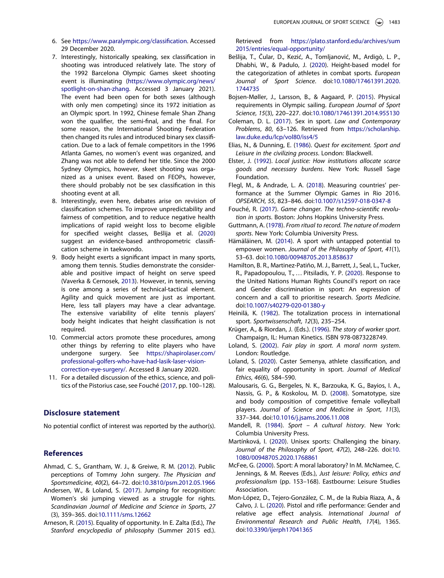- <span id="page-7-9"></span>6. See [https://www.paralympic.org/classi](https://www.paralympic.org/classification)fication. Accessed 29 December 2020.
- <span id="page-7-14"></span>7. Interestingly, historically speaking, sex classification in shooting was introduced relatively late. The story of the 1992 Barcelona Olympic Games skeet shooting event is illuminating ([https://www.olympic.org/news/](https://www.olympic.org/news/spotlight-on-shan-zhang) [spotlight-on-shan-zhang](https://www.olympic.org/news/spotlight-on-shan-zhang). Accessed 3 January 2021). The event had been open for both sexes (although with only men competing) since its 1972 initiation as an Olympic sport. In 1992, Chinese female Shan Zhang won the qualifier, the semi-final, and the final. For some reason, the International Shooting Federation then changed its rules and introduced binary sex classification. Due to a lack of female competitors in the 1996 Atlanta Games, no women's event was organized, and Zhang was not able to defend her title. Since the 2000 Sydney Olympics, however, skeet shooting was organized as a unisex event. Based on FEOPs, however, there should probably not be sex classification in this shooting event at all.
- <span id="page-7-28"></span><span id="page-7-20"></span>8. Interestingly, even here, debates arise on revision of classification schemes. To improve unpredictability and fairness of competition, and to reduce negative health implications of rapid weight loss to become eligible for specified weight classes, Bešlija et al. ([2020](#page-7-27)) suggest an evidence-based anthropometric classification scheme in taekwondo.
- <span id="page-7-29"></span><span id="page-7-22"></span>9. Body height exerts a significant impact in many sports, among them tennis. Studies demonstrate the considerable and positive impact of height on serve speed (Vaverka & Cernosek, [2013](#page-8-11)). However, in tennis, serving is one among a series of technical-tactical element. Agility and quick movement are just as important. Here, less tall players may have a clear advantage. The extensive variability of elite tennis players' body height indicates that height classification is not required.
- <span id="page-7-24"></span>10. Commercial actors promote these procedures, among other things by referring to elite players who have undergone surgery. See [https://shapirolaser.com/](https://shapirolaser.com/professional-golfers-who-have-had-lasik-laser-vision-correction-eye-surgery/) [professional-golfers-who-have-had-lasik-laser-vision](https://shapirolaser.com/professional-golfers-who-have-had-lasik-laser-vision-correction-eye-surgery/)[correction-eye-surgery/](https://shapirolaser.com/professional-golfers-who-have-had-lasik-laser-vision-correction-eye-surgery/). Accessed 8 January 2020.
- <span id="page-7-26"></span>11. For a detailed discussion of the ethics, science, and politics of the Pistorius case, see Fouché ([2017](#page-7-17), pp. 100–128).

#### Disclosure statement

No potential conflict of interest was reported by the author(s).

#### **References**

- <span id="page-7-25"></span>Ahmad, C. S., Grantham, W. J., & Greiwe, R. M. [\(2012\)](#page-5-0). Public perceptions of Tommy John surgery. The Physician and Sportsmedicine, 40(2), 64–72. doi:[10.3810/psm.2012.05.1966](https://doi.org/10.3810/psm.2012.05.1966)
- <span id="page-7-15"></span>Andersen, W., & Loland, S. ([2017](#page-4-0)). Jumping for recognition: Women's ski jumping viewed as a struggle for rights. Scandinavian Journal of Medicine and Science in Sports, 27 (3), 359–365. doi[:10.1111/sms.12662](https://doi.org/10.1111/sms.12662)
- <span id="page-7-7"></span>Arneson, R. ([2015](#page-2-0)). Equality of opportunity. In E. Zalta (Ed.), The Stanford encyclopedia of philosophy (Summer 2015 ed.).

Retrieved from [https://plato.stanford.edu/archives/sum](https://plato.stanford.edu/archives/sum2015/entries/equal-opportunity/) [2015/entries/equal-opportunity/](https://plato.stanford.edu/archives/sum2015/entries/equal-opportunity/)

- <span id="page-7-27"></span>Bešlija, T., Čular, D., Kezić, A., Tomljanović, M., Ardigò, L. P., Dhabhi, W., & Padulo, J. ([2020](#page-7-28)). Height-based model for the categorization of athletes in combat sports. European Journal of Sport Science. doi:[10.1080/17461391.2020.](https://doi.org/10.1080/17461391.2020.1744735) [1744735](https://doi.org/10.1080/17461391.2020.1744735)
- <span id="page-7-23"></span>Bojsen-Møller, J., Larsson, B., & Aagaard, P. ([2015](#page-5-1)). Physical requirements in Olympic sailing. European Journal of Sport Science, 15(3), 220–227. doi[:10.1080/17461391.2014.955130](https://doi.org/10.1080/17461391.2014.955130)
- <span id="page-7-11"></span>Coleman, D. L. [\(2017\)](#page-4-1). Sex in sport. Law and Contemporary Problems, 80, 63–126. Retrieved from [https://scholarship.](https://scholarship.law.duke.edu/lcp/vol80/iss4/5) [law.duke.edu/lcp/vol80/iss4/5](https://scholarship.law.duke.edu/lcp/vol80/iss4/5)
- <span id="page-7-1"></span>Elias, N., & Dunning, E. ([1986](#page-1-0)). Quest for excitement. Sport and Leisure in the civilizing process. London: Blackwell.
- <span id="page-7-8"></span>Elster, J. [\(1992\)](#page-2-1). Local justice: How institutions allocate scarce goods and necessary burdens. New York: Russell Sage Foundation.
- <span id="page-7-6"></span>Flegl, M., & Andrade, L. A. [\(2018\)](#page-2-2). Measuring countries' performance at the Summer Olympic Games in Rio 2016. OPSEARCH, 55, 823–846. doi:[10.1007/s12597-018-0347-8](https://doi.org/10.1007/s12597-018-0347-8)
- <span id="page-7-17"></span>Fouché, R. [\(2017\)](#page-5-2). Game changer. The techno-scientific revolution in sports. Boston: Johns Hopkins University Press.
- <span id="page-7-3"></span>Guttmann, A. ([1978](#page-1-1)). From ritual to record. The nature of modern sports. New York: Columbia University Press.
- <span id="page-7-16"></span>Hämäläinen, M. ([2014](#page-4-2)). A sport with untapped potential to empower women. Journal of the Philosophy of Sport, 41(1), 53–63. doi[:10.1080/00948705.2013.858637](https://doi.org/10.1080/00948705.2013.858637)
- <span id="page-7-18"></span>Hamilton, B. R., Martinez-Patiño, M. J., Barrett, J., Seal, L., Tucker, R., Papadopoulou, T., … Pitsiladis, Y. P. [\(2020\)](#page-5-3). Response to the United Nations Human Rights Council's report on race and Gender discrimination in sport: An expression of concern and a call to prioritise research. Sports Medicine. doi:[10.1007/s40279-020-01380-y](https://doi.org/10.1007/s40279-020-01380-y)
- <span id="page-7-5"></span>Heinilä, K. ([1982](#page-2-3)). The totalization process in international sport. Sportwissenschaft, 12(3), 235–254.
- <span id="page-7-2"></span>Krüger, A., & Riordan, J. (Eds.). ([1996](#page-1-2)). The story of worker sport. Champaign, IL: Human Kinetics. ISBN 978-0873228749.
- <span id="page-7-4"></span>Loland, S. ([2002](#page-1-3)). Fair play in sport. A moral norm system. London: Routledge.
- <span id="page-7-19"></span>Loland, S. ([2020](#page-5-4)). Caster Semenya, athlete classification, and fair equality of opportunity in sport. Journal of Medical Ethics, 46(6), 584–590.
- <span id="page-7-21"></span>Malousaris, G. G., Bergeles, N. K., Barzouka, K. G., Bayios, I. A., Nassis, G. P., & Koskolou, M. D. [\(2008\)](#page-5-5). Somatotype, size and body composition of competitive female volleyball players. Journal of Science and Medicine in Sport, 11(3), 337–344. doi[:10.1016/j.jsams.2006.11.008](https://doi.org/10.1016/j.jsams.2006.11.008)
- <span id="page-7-0"></span>Mandell, R. ([1984](#page-1-4)). Sport – A cultural history. New York: Columbia University Press.
- <span id="page-7-13"></span>Martínková, I. ([2020](#page-4-3)). Unisex sports: Challenging the binary. Journal of the Philosophy of Sport, 47(2), 248–226. doi[:10.](https://doi.org/10.1080/00948705.2020.1768861) [1080/00948705.2020.1768861](https://doi.org/10.1080/00948705.2020.1768861)
- <span id="page-7-10"></span>McFee, G. ([2000](#page-4-4)). Sport: A moral laboratory? In M. McNamee, C. Jennings, & M. Reeves (Eds.), Just leisure: Policy, ethics and professionalism (pp. 153–168). Eastbourne: Leisure Studies Association.
- <span id="page-7-12"></span>Mon-López, D., Tejero-González, C. M., de la Rubia Riaza, A., & Calvo, J. L. ([2020\)](#page-4-5). Pistol and rifle performance: Gender and relative age effect analysis. International Journal of Environmental Research and Public Health, 17(4), 1365. doi:[10.3390/ijerph17041365](https://doi.org/10.3390/ijerph17041365)